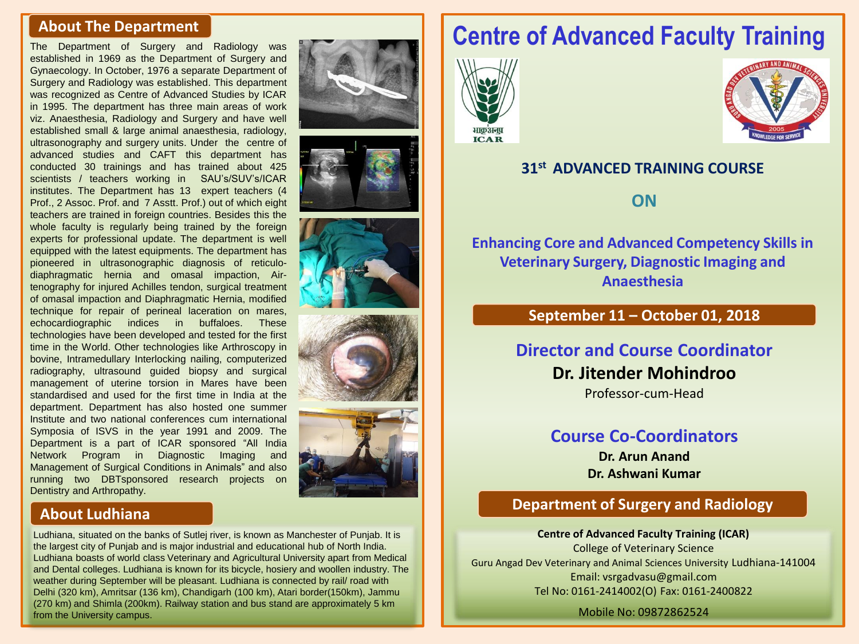#### **About The Department**

The Department of Surgery and Radiology was established in 1969 as the Department of Surgery and Gynaecology. In October, 1976 a separate Department of Surgery and Radiology was established. This department was recognized as Centre of Advanced Studies by ICAR in 1995. The department has three main areas of work viz. Anaesthesia, Radiology and Surgery and have well established small & large animal anaesthesia, radiology, ultrasonography and surgery units. Under the centre of advanced studies and CAFT this department has conducted 30 trainings and has trained about 425 scientists / teachers working in SAU's/SUV's/ICAR institutes. The Department has 13 expert teachers (4 Prof., 2 Assoc. Prof. and 7 Asstt. Prof.) out of which eight teachers are trained in foreign countries. Besides this the whole faculty is regularly being trained by the foreign experts for professional update. The department is well equipped with the latest equipments. The department has pioneered in ultrasonographic diagnosis of reticulodiaphragmatic hernia and omasal impaction, Airtenography for injured Achilles tendon, surgical treatment of omasal impaction and Diaphragmatic Hernia, modified technique for repair of perineal laceration on mares, echocardiographic indices in buffaloes. These technologies have been developed and tested for the first time in the World. Other technologies like Arthroscopy in bovine, Intramedullary Interlocking nailing, computerized radiography, ultrasound guided biopsy and surgical management of uterine torsion in Mares have been standardised and used for the first time in India at the department. Department has also hosted one summer Institute and two national conferences cum international Symposia of ISVS in the year 1991 and 2009. The Department is a part of ICAR sponsored "All India Network Program in Diagnostic Imaging and Management of Surgical Conditions in Animals" and also running two DBTsponsored research projects on Dentistry and Arthropathy.









#### **About Ludhiana**

Ludhiana, situated on the banks of Sutlej river, is known as Manchester of Punjab. It is the largest city of Punjab and is major industrial and educational hub of North India. Ludhiana boasts of world class Veterinary and Agricultural University apart from Medical and Dental colleges. Ludhiana is known for its bicycle, hosiery and woollen industry. The weather during September will be pleasant. Ludhiana is connected by rail/ road with Delhi (320 km), Amritsar (136 km), Chandigarh (100 km), Atari border(150km), Jammu (270 km) and Shimla (200km). Railway station and bus stand are approximately 5 km from the University campus.

# **Centre of Advanced Faculty Training**





#### **31st ADVANCED TRAINING COURSE**

**ON**

**Enhancing Core and Advanced Competency Skills in Veterinary Surgery, Diagnostic Imaging and Anaesthesia**

#### **September 11 – October 01, 2018**

### **Director and Course Coordinator**

**Dr. Jitender Mohindroo** Professor-cum-Head

# **Course Co-Coordinators**

**Dr. Arun Anand Dr. Ashwani Kumar**

### **Department of Surgery and Radiology**

**Centre of Advanced Faculty Training (ICAR)** College of Veterinary Science Guru Angad Dev Veterinary and Animal Sciences University Ludhiana-141004 Email: vsrgadvasu@gmail.com Tel No: 0161-2414002(O) Fax: 0161-2400822

Mobile No: 09872862524